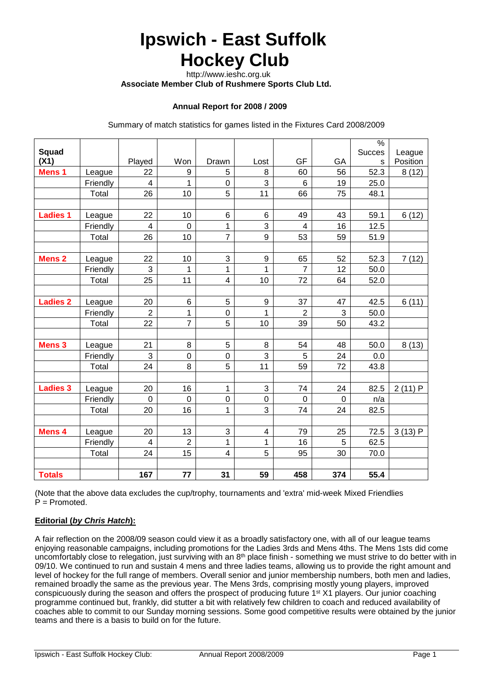# **Ipswich - East Suffolk Hockey Club**

 http://www.ieshc.org.uk  **Associate Member Club of Rushmere Sports Club Ltd.**

#### **Annual Report for 2008 / 2009**

Summary of match statistics for games listed in the Fixtures Card 2008/2009

|                   |          |                         |                |                         |                         |                |             | $\frac{0}{6}$ |          |
|-------------------|----------|-------------------------|----------------|-------------------------|-------------------------|----------------|-------------|---------------|----------|
| Squad             |          |                         |                |                         |                         |                |             | <b>Succes</b> | League   |
| (X1)              |          | Played                  | Won            | Drawn                   | Lost                    | GF             | GA          | S             | Position |
| Mens <sub>1</sub> | League   | 22                      | 9              | 5                       | 8                       | 60             | 56          | 52.3          | 8(12)    |
|                   | Friendly | $\overline{4}$          | 1              | $\mathsf 0$             | 3                       | 6              | 19          | 25.0          |          |
|                   | Total    | 26                      | 10             | 5                       | 11                      | 66             | 75          | 48.1          |          |
|                   |          |                         |                |                         |                         |                |             |               |          |
| <b>Ladies 1</b>   | League   | 22                      | 10             | 6                       | 6                       | 49             | 43          | 59.1          | 6(12)    |
|                   | Friendly | $\overline{4}$          | $\mathbf 0$    | 1                       | 3                       | 4              | 16          | 12.5          |          |
|                   | Total    | 26                      | 10             | $\overline{7}$          | 9                       | 53             | 59          | 51.9          |          |
|                   |          |                         |                |                         |                         |                |             |               |          |
| <b>Mens 2</b>     | League   | 22                      | 10             | 3                       | $\mathsf 9$             | 65             | 52          | 52.3          | 7(12)    |
|                   | Friendly | 3                       | 1              | 1                       | 1                       | $\overline{7}$ | 12          | 50.0          |          |
|                   | Total    | 25                      | 11             | $\overline{\mathbf{4}}$ | 10                      | 72             | 64          | 52.0          |          |
|                   |          |                         |                |                         |                         |                |             |               |          |
| <b>Ladies 2</b>   | League   | 20                      | $6\phantom{1}$ | 5                       | 9                       | 37             | 47          | 42.5          | 6(11)    |
|                   | Friendly | $\overline{c}$          | 1              | $\mathbf 0$             | 1                       | $\overline{2}$ | 3           | 50.0          |          |
|                   | Total    | 22                      | $\overline{7}$ | 5                       | 10                      | 39             | 50          | 43.2          |          |
|                   |          |                         |                |                         |                         |                |             |               |          |
| <b>Mens 3</b>     | League   | 21                      | 8              | 5                       | 8                       | 54             | 48          | 50.0          | 8(13)    |
|                   | Friendly | 3                       | $\mathbf 0$    | $\mathsf 0$             | 3                       | 5              | 24          | 0.0           |          |
|                   | Total    | 24                      | 8              | 5                       | 11                      | 59             | 72          | 43.8          |          |
|                   |          |                         |                |                         |                         |                |             |               |          |
| <b>Ladies 3</b>   | League   | 20                      | 16             | $\mathbf 1$             | 3                       | 74             | 24          | 82.5          | 2(11)P   |
|                   | Friendly | $\mathbf 0$             | $\mathbf 0$    | $\mathbf 0$             | $\mathsf 0$             | $\mathbf 0$    | $\mathbf 0$ | n/a           |          |
|                   | Total    | 20                      | 16             | $\mathbf{1}$            | 3                       | 74             | 24          | 82.5          |          |
|                   |          |                         |                |                         |                         |                |             |               |          |
| Mens 4            | League   | 20                      | 13             | 3                       | $\overline{\mathbf{4}}$ | 79             | 25          | 72.5          | 3(13)P   |
|                   | Friendly | $\overline{\mathbf{4}}$ | $\overline{2}$ | $\mathbf{1}$            | 1                       | 16             | 5           | 62.5          |          |
|                   | Total    | 24                      | 15             | 4                       | 5                       | 95             | 30          | 70.0          |          |
|                   |          |                         |                |                         |                         |                |             |               |          |
| <b>Totals</b>     |          | 167                     | 77             | 31                      | 59                      | 458            | 374         | 55.4          |          |

(Note that the above data excludes the cup/trophy, tournaments and 'extra' mid-week Mixed Friendlies P = Promoted.

#### **Editorial (***by Chris Hatch***):**

A fair reflection on the 2008/09 season could view it as a broadly satisfactory one, with all of our league teams enjoying reasonable campaigns, including promotions for the Ladies 3rds and Mens 4ths. The Mens 1sts did come uncomfortably close to relegation, just surviving with an  $8<sup>th</sup>$  place finish - something we must strive to do better with in 09/10. We continued to run and sustain 4 mens and three ladies teams, allowing us to provide the right amount and level of hockey for the full range of members. Overall senior and junior membership numbers, both men and ladies, remained broadly the same as the previous year. The Mens 3rds, comprising mostly young players, improved conspicuously during the season and offers the prospect of producing future 1st X1 players. Our junior coaching programme continued but, frankly, did stutter a bit with relatively few children to coach and reduced availability of coaches able to commit to our Sunday morning sessions. Some good competitive results were obtained by the junior teams and there is a basis to build on for the future.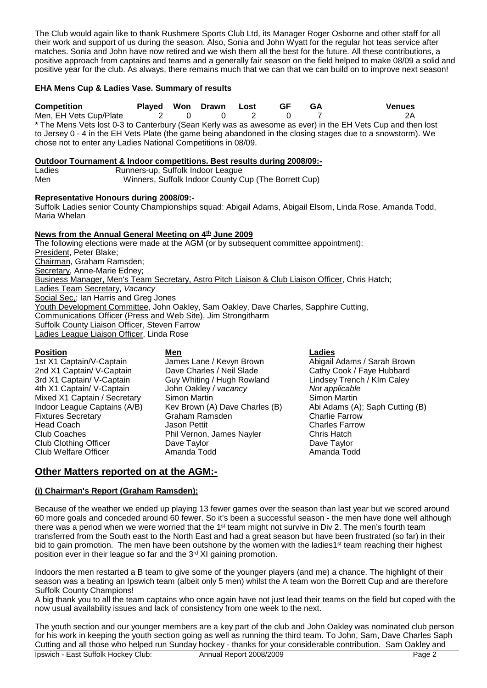The Club would again like to thank Rushmere Sports Club Ltd, its Manager Roger Osborne and other staff for all their work and support of us during the season. Also, Sonia and John Wyatt for the regular hot teas service after matches. Sonia and John have now retired and we wish them all the best for the future. All these contributions, a positive approach from captains and teams and a generally fair season on the field helped to make 08/09 a solid and positive year for the club. As always, there remains much that we can that we can build on to improve next season!

#### **EHA Mens Cup & Ladies Vase. Summary of results**

**Competition Played Won Drawn Lost GF GA Venues** Men, EH Vets Cup/Plate  $2$  0 0 2 0 \* The Mens Vets lost 0-3 to Canterbury (Sean Kerly was as awesome as ever) in the EH Vets Cup and then lost to Jersey 0 - 4 in the EH Vets Plate (the game being abandoned in the closing stages due to a snowstorm). We chose not to enter any Ladies National Competitions in 08/09.

## **Outdoor Tournament & Indoor competitions. Best results during 2008/09:-**

Ladies Runners-up, Suffolk Indoor League<br>Men Winners. Suffolk Indoor County C Winners, Suffolk Indoor County Cup (The Borrett Cup)

#### **Representative Honours during 2008/09:-**

Suffolk Ladies senior County Championships squad: Abigail Adams, Abigail Elsom, Linda Rose, Amanda Todd, Maria Whelan

#### **News from the Annual General Meeting on 4th June 2009**

The following elections were made at the AGM (or by subsequent committee appointment): President, Peter Blake; Chairman, Graham Ramsden; Secretary, Anne-Marie Edney; Business Manager, Men's Team Secretary, Astro Pitch Liaison & Club Liaison Officer, Chris Hatch; Ladies Team Secretary, *Vacancy* Social Sec,; Ian Harris and Greg Jones Youth Development Committee, John Oakley, Sam Oakley, Dave Charles, Sapphire Cutting, Communications Officer (Press and Web Site), Jim Strongitharm Suffolk County Liaison Officer, Steven Farrow Ladies League Liaison Officer, Linda Rose

#### **Position Men Ladies**

Fixtures Secretary<br>Head Coach Club Welfare Officer

1st X1 Captain/V-Captain James Lane / Kevyn Brown **Abigail Adams / Sarah Brown**<br>2nd X1 Captain/ V-Captain Dave Charles / Neil Slade Cathy Cook / Faye Hubbard 2nd X1 Captain/ V-Captain Dave Charles / Neil Slade Cathy Cook / Faye Hubbard<br>2rd X1 Captain/ V-Captain Guy Whiting / Hugh Rowland Lindsey Trench / Klm Caley Guy Whiting / Hugh Rowland Lindsey Trench / KIm Caley<br>John Oakley / vacancy Mot applicable 4th X1 Captain/ V-Captain John Oakley / *vacancy Not applicable* Kev Brown (A) Dave Charles (B) Abi Adams (A); Saph Charles (B) Abi Adams (A); Saph Charlie Farrow Head Coach **Coach Coach Coach Coach Charles Farrow**<br>Club Coaches Club Coaches Phil Vernon, James Navler Chris Hatch Phil Vernon, James Nayler Chris Hatch<br>Dave Taylor Chris Hatch Club Clothing Officer Dave Taylor Dave Taylor

Mixed X1 Captain / Secretary Simon Martin Simon Simon Martin Simon Martin Indoor League Captains (A/B) Kev Brown (A) Dave Charles (B) Abi Adams (A); Saph Cutting (B)

### **Other Matters reported on at the AGM:-**

#### **(i) Chairman's Report (Graham Ramsden);**

Because of the weather we ended up playing 13 fewer games over the season than last year but we scored around 60 more goals and conceded around 60 fewer. So it's been a successful season - the men have done well although there was a period when we were worried that the 1<sup>st</sup> team might not survive in Div 2. The men's fourth team transferred from the South east to the North East and had a great season but have been frustrated (so far) in their bid to gain promotion. The men have been outshone by the women with the ladies1<sup>st</sup> team reaching their highest position ever in their league so far and the 3<sup>rd</sup> XI gaining promotion.

Indoors the men restarted a B team to give some of the younger players (and me) a chance. The highlight of their season was a beating an Ipswich team (albeit only 5 men) whilst the A team won the Borrett Cup and are therefore Suffolk County Champions!

A big thank you to all the team captains who once again have not just lead their teams on the field but coped with the now usual availability issues and lack of consistency from one week to the next.

Ipswich - East Suffolk Hockey Club: Annual Report 2008/2009 Page 2 The youth section and our younger members are a key part of the club and John Oakley was nominated club person for his work in keeping the youth section going as well as running the third team. To John, Sam, Dave Charles Saph Cutting and all those who helped run Sunday hockey - thanks for your considerable contribution. Sam Oakley and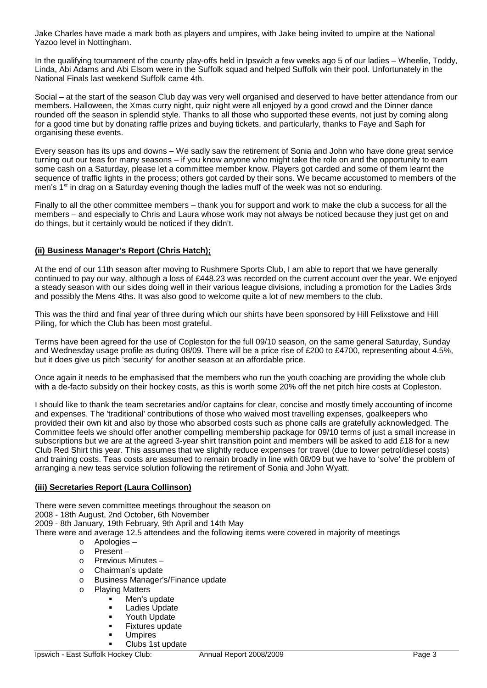Jake Charles have made a mark both as players and umpires, with Jake being invited to umpire at the National Yazoo level in Nottingham.

In the qualifying tournament of the county play-offs held in Ipswich a few weeks ago 5 of our ladies – Wheelie, Toddy, Linda, Abi Adams and Abi Elsom were in the Suffolk squad and helped Suffolk win their pool. Unfortunately in the National Finals last weekend Suffolk came 4th.

Social – at the start of the season Club day was very well organised and deserved to have better attendance from our members. Halloween, the Xmas curry night, quiz night were all enjoyed by a good crowd and the Dinner dance rounded off the season in splendid style. Thanks to all those who supported these events, not just by coming along for a good time but by donating raffle prizes and buying tickets, and particularly, thanks to Faye and Saph for organising these events.

Every season has its ups and downs – We sadly saw the retirement of Sonia and John who have done great service turning out our teas for many seasons – if you know anyone who might take the role on and the opportunity to earn some cash on a Saturday, please let a committee member know. Players got carded and some of them learnt the sequence of traffic lights in the process; others got carded by their sons. We became accustomed to members of the men's 1st in drag on a Saturday evening though the ladies muff of the week was not so enduring.

Finally to all the other committee members – thank you for support and work to make the club a success for all the members – and especially to Chris and Laura whose work may not always be noticed because they just get on and do things, but it certainly would be noticed if they didn't.

#### **(ii) Business Manager's Report (Chris Hatch);**

At the end of our 11th season after moving to Rushmere Sports Club, I am able to report that we have generally continued to pay our way, although a loss of £448.23 was recorded on the current account over the year. We enjoyed a steady season with our sides doing well in their various league divisions, including a promotion for the Ladies 3rds and possibly the Mens 4ths. It was also good to welcome quite a lot of new members to the club.

This was the third and final year of three during which our shirts have been sponsored by Hill Felixstowe and Hill Piling, for which the Club has been most grateful.

Terms have been agreed for the use of Copleston for the full 09/10 season, on the same general Saturday, Sunday and Wednesday usage profile as during 08/09. There will be a price rise of £200 to £4700, representing about 4.5%, but it does give us pitch 'security' for another season at an affordable price.

Once again it needs to be emphasised that the members who run the youth coaching are providing the whole club with a de-facto subsidy on their hockey costs, as this is worth some 20% off the net pitch hire costs at Copleston.

I should like to thank the team secretaries and/or captains for clear, concise and mostly timely accounting of income and expenses. The 'traditional' contributions of those who waived most travelling expenses, goalkeepers who provided their own kit and also by those who absorbed costs such as phone calls are gratefully acknowledged. The Committee feels we should offer another compelling membership package for 09/10 terms of just a small increase in subscriptions but we are at the agreed 3-year shirt transition point and members will be asked to add £18 for a new Club Red Shirt this year. This assumes that we slightly reduce expenses for travel (due to lower petrol/diesel costs) and training costs. Teas costs are assumed to remain broadly in line with 08/09 but we have to 'solve' the problem of arranging a new teas service solution following the retirement of Sonia and John Wyatt.

#### **(iii) Secretaries Report (Laura Collinson)**

There were seven committee meetings throughout the season on

2008 - 18th August, 2nd October, 6th November

2009 - 8th January, 19th February, 9th April and 14th May

There were and average 12.5 attendees and the following items were covered in majority of meetings

- o Apologies –
- o Present –
- o Previous Minutes –
- o Chairman's update
- o Business Manager's/Finance update<br>o Plaving Matters
- Playing Matters<br>Men's u
	- Men's update
		- **Ladies Update**
		- Youth Update
		- Fixtures update
		- Umpires
	- Clubs 1st update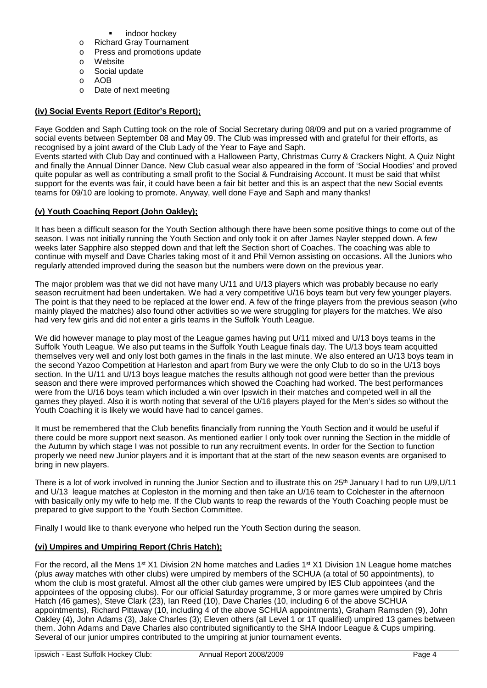- indoor hockey
- o Richard Gray Tournament
- o Press and promotions update
- o Website
- o Social update
- o AOB
- o Date of next meeting

#### **(iv) Social Events Report (Editor's Report);**

Faye Godden and Saph Cutting took on the role of Social Secretary during 08/09 and put on a varied programme of social events between September 08 and May 09. The Club was impressed with and grateful for their efforts, as recognised by a joint award of the Club Lady of the Year to Faye and Saph.

Events started with Club Day and continued with a Halloween Party, Christmas Curry & Crackers Night, A Quiz Night and finally the Annual Dinner Dance. New Club casual wear also appeared in the form of 'Social Hoodies' and proved quite popular as well as contributing a small profit to the Social & Fundraising Account. It must be said that whilst support for the events was fair, it could have been a fair bit better and this is an aspect that the new Social events teams for 09/10 are looking to promote. Anyway, well done Faye and Saph and many thanks!

#### **(v) Youth Coaching Report (John Oakley);**

It has been a difficult season for the Youth Section although there have been some positive things to come out of the season. I was not initially running the Youth Section and only took it on after James Nayler stepped down. A few weeks later Sapphire also stepped down and that left the Section short of Coaches. The coaching was able to continue with myself and Dave Charles taking most of it and Phil Vernon assisting on occasions. All the Juniors who regularly attended improved during the season but the numbers were down on the previous year.

The major problem was that we did not have many U/11 and U/13 players which was probably because no early season recruitment had been undertaken. We had a very competitive U/16 boys team but very few younger players. The point is that they need to be replaced at the lower end. A few of the fringe players from the previous season (who mainly played the matches) also found other activities so we were struggling for players for the matches. We also had very few girls and did not enter a girls teams in the Suffolk Youth League.

We did however manage to play most of the League games having put U/11 mixed and U/13 boys teams in the Suffolk Youth League. We also put teams in the Suffolk Youth League finals day. The U/13 boys team acquitted themselves very well and only lost both games in the finals in the last minute. We also entered an U/13 boys team in the second Yazoo Competition at Harleston and apart from Bury we were the only Club to do so in the U/13 boys section. In the U/11 and U/13 boys league matches the results although not good were better than the previous season and there were improved performances which showed the Coaching had worked. The best performances were from the U/16 boys team which included a win over Ipswich in their matches and competed well in all the games they played. Also it is worth noting that several of the U/16 players played for the Men's sides so without the Youth Coaching it is likely we would have had to cancel games.

It must be remembered that the Club benefits financially from running the Youth Section and it would be useful if there could be more support next season. As mentioned earlier I only took over running the Section in the middle of the Autumn by which stage I was not possible to run any recruitment events. In order for the Section to function properly we need new Junior players and it is important that at the start of the new season events are organised to bring in new players.

There is a lot of work involved in running the Junior Section and to illustrate this on 25<sup>th</sup> January I had to run U/9, U/11 and U/13 league matches at Copleston in the morning and then take an U/16 team to Colchester in the afternoon with basically only my wife to help me. If the Club wants to reap the rewards of the Youth Coaching people must be prepared to give support to the Youth Section Committee.

Finally I would like to thank everyone who helped run the Youth Section during the season.

#### **(vi) Umpires and Umpiring Report (Chris Hatch);**

For the record, all the Mens 1<sup>st</sup> X1 Division 2N home matches and Ladies 1<sup>st</sup> X1 Division 1N League home matches (plus away matches with other clubs) were umpired by members of the SCHUA (a total of 50 appointments), to whom the club is most grateful. Almost all the other club games were umpired by IES Club appointees (and the appointees of the opposing clubs). For our official Saturday programme, 3 or more games were umpired by Chris Hatch (46 games), Steve Clark (23), Ian Reed (10), Dave Charles (10, including 6 of the above SCHUA appointments), Richard Pittaway (10, including 4 of the above SCHUA appointments), Graham Ramsden (9), John Oakley (4), John Adams (3), Jake Charles (3); Eleven others (all Level 1 or 1T qualified) umpired 13 games between them. John Adams and Dave Charles also contributed significantly to the SHA Indoor League & Cups umpiring. Several of our junior umpires contributed to the umpiring at junior tournament events.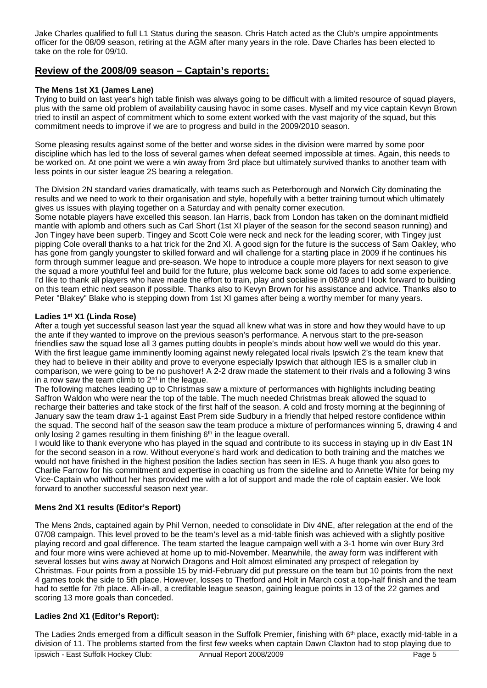Jake Charles qualified to full L1 Status during the season. Chris Hatch acted as the Club's umpire appointments officer for the 08/09 season, retiring at the AGM after many years in the role. Dave Charles has been elected to take on the role for 09/10.

### **Review of the 2008/09 season – Captain's reports:**

#### **The Mens 1st X1 (James Lane)**

Trying to build on last year's high table finish was always going to be difficult with a limited resource of squad players, plus with the same old problem of availability causing havoc in some cases. Myself and my vice captain Kevyn Brown tried to instil an aspect of commitment which to some extent worked with the vast majority of the squad, but this commitment needs to improve if we are to progress and build in the 2009/2010 season.

Some pleasing results against some of the better and worse sides in the division were marred by some poor discipline which has led to the loss of several games when defeat seemed impossible at times. Again, this needs to be worked on. At one point we were a win away from 3rd place but ultimately survived thanks to another team with less points in our sister league 2S bearing a relegation.

The Division 2N standard varies dramatically, with teams such as Peterborough and Norwich City dominating the results and we need to work to their organisation and style, hopefully with a better training turnout which ultimately gives us issues with playing together on a Saturday and with penalty corner execution.

Some notable players have excelled this season. Ian Harris, back from London has taken on the dominant midfield mantle with aplomb and others such as Carl Short (1st XI player of the season for the second season running) and Jon Tingey have been superb. Tingey and Scott Cole were neck and neck for the leading scorer, with Tingey just pipping Cole overall thanks to a hat trick for the 2nd XI. A good sign for the future is the success of Sam Oakley, who has gone from gangly youngster to skilled forward and will challenge for a starting place in 2009 if he continues his form through summer league and pre-season. We hope to introduce a couple more players for next season to give the squad a more youthful feel and build for the future, plus welcome back some old faces to add some experience. I'd like to thank all players who have made the effort to train, play and socialise in 08/09 and I look forward to building on this team ethic next season if possible. Thanks also to Kevyn Brown for his assistance and advice. Thanks also to Peter "Blakey" Blake who is stepping down from 1st XI games after being a worthy member for many years.

#### **Ladies 1st X1 (Linda Rose)**

After a tough yet successful season last year the squad all knew what was in store and how they would have to up the ante if they wanted to improve on the previous season's performance. A nervous start to the pre-season friendlies saw the squad lose all 3 games putting doubts in people's minds about how well we would do this year. With the first league game imminently looming against newly relegated local rivals Ipswich 2's the team knew that they had to believe in their ability and prove to everyone especially Ipswich that although IES is a smaller club in comparison, we were going to be no pushover! A 2-2 draw made the statement to their rivals and a following 3 wins in a row saw the team climb to  $2<sup>nd</sup>$  in the league.

The following matches leading up to Christmas saw a mixture of performances with highlights including beating Saffron Waldon who were near the top of the table. The much needed Christmas break allowed the squad to recharge their batteries and take stock of the first half of the season. A cold and frosty morning at the beginning of January saw the team draw 1-1 against East Prem side Sudbury in a friendly that helped restore confidence within the squad. The second half of the season saw the team produce a mixture of performances winning 5, drawing 4 and only losing 2 games resulting in them finishing  $6<sup>th</sup>$  in the league overall.

I would like to thank everyone who has played in the squad and contribute to its success in staying up in div East 1N for the second season in a row. Without everyone's hard work and dedication to both training and the matches we would not have finished in the highest position the ladies section has seen in IES. A huge thank you also goes to Charlie Farrow for his commitment and expertise in coaching us from the sideline and to Annette White for being my Vice-Captain who without her has provided me with a lot of support and made the role of captain easier. We look forward to another successful season next year.

#### **Mens 2nd X1 results (Editor's Report)**

The Mens 2nds, captained again by Phil Vernon, needed to consolidate in Div 4NE, after relegation at the end of the 07/08 campaign. This level proved to be the team's level as a mid-table finish was achieved with a slightly positive playing record and goal difference. The team started the league campaign well with a 3-1 home win over Bury 3rd and four more wins were achieved at home up to mid-November. Meanwhile, the away form was indifferent with several losses but wins away at Norwich Dragons and Holt almost eliminated any prospect of relegation by Christmas. Four points from a possible 15 by mid-February did put pressure on the team but 10 points from the next 4 games took the side to 5th place. However, losses to Thetford and Holt in March cost a top-half finish and the team had to settle for 7th place. All-in-all, a creditable league season, gaining league points in 13 of the 22 games and scoring 13 more goals than conceded.

#### **Ladies 2nd X1 (Editor's Report):**

The Ladies 2nds emerged from a difficult season in the Suffolk Premier, finishing with 6<sup>th</sup> place, exactly mid-table in a division of 11. The problems started from the first few weeks when captain Dawn Claxton had to stop playing due to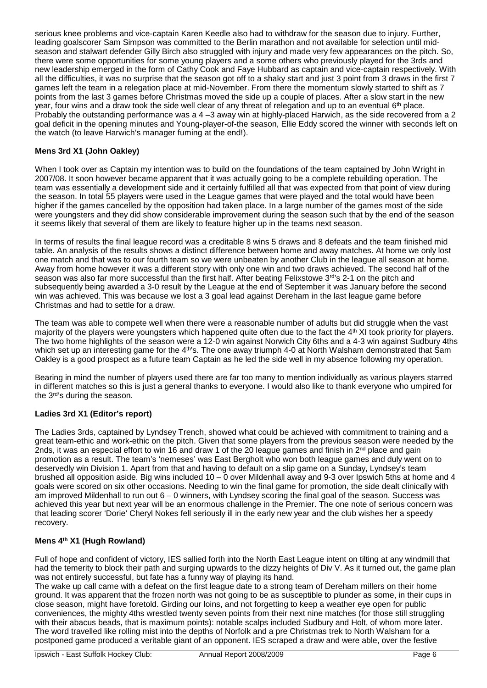serious knee problems and vice-captain Karen Keedle also had to withdraw for the season due to injury. Further, leading goalscorer Sam Simpson was committed to the Berlin marathon and not available for selection until midseason and stalwart defender Gilly Birch also struggled with injury and made very few appearances on the pitch. So, there were some opportunities for some young players and a some others who previously played for the 3rds and new leadership emerged in the form of Cathy Cook and Faye Hubbard as captain and vice-captain respectively. With all the difficulties, it was no surprise that the season got off to a shaky start and just 3 point from 3 draws in the first 7 games left the team in a relegation place at mid-November. From there the momentum slowly started to shift as 7 points from the last 3 games before Christmas moved the side up a couple of places. After a slow start in the new year, four wins and a draw took the side well clear of any threat of relegation and up to an eventual 6<sup>th</sup> place. Probably the outstanding performance was a 4 –3 away win at highly-placed Harwich, as the side recovered from a 2 goal deficit in the opening minutes and Young-player-of-the season, Ellie Eddy scored the winner with seconds left on the watch (to leave Harwich's manager fuming at the end!).

#### **Mens 3rd X1 (John Oakley)**

When I took over as Captain my intention was to build on the foundations of the team captained by John Wright in 2007/08. It soon however became apparent that it was actually going to be a complete rebuilding operation. The team was essentially a development side and it certainly fulfilled all that was expected from that point of view during the season. In total 55 players were used in the League games that were played and the total would have been higher if the games cancelled by the opposition had taken place. In a large number of the games most of the side were youngsters and they did show considerable improvement during the season such that by the end of the season it seems likely that several of them are likely to feature higher up in the teams next season.

In terms of results the final league record was a creditable 8 wins 5 draws and 8 defeats and the team finished mid table. An analysis of the results shows a distinct difference between home and away matches. At home we only lost one match and that was to our fourth team so we were unbeaten by another Club in the league all season at home. Away from home however it was a different story with only one win and two draws achieved. The second half of the season was also far more successful than the first half. After beating Felixstowe 3<sup>rd</sup>'s 2-1 on the pitch and subsequently being awarded a 3-0 result by the League at the end of September it was January before the second win was achieved. This was because we lost a 3 goal lead against Dereham in the last league game before Christmas and had to settle for a draw.

The team was able to compete well when there were a reasonable number of adults but did struggle when the vast majority of the players were youngsters which happened quite often due to the fact the 4<sup>th</sup> XI took priority for players. The two home highlights of the season were a 12-0 win against Norwich City 6ths and a 4-3 win against Sudbury 4ths which set up an interesting game for the 4<sup>th'</sup>s. The one away triumph 4-0 at North Walsham demonstrated that Sam Oakley is a good prospect as a future team Captain as he led the side well in my absence following my operation.

Bearing in mind the number of players used there are far too many to mention individually as various players starred in different matches so this is just a general thanks to everyone. I would also like to thank everyone who umpired for the 3rd's during the season.

#### **Ladies 3rd X1 (Editor's report)**

The Ladies 3rds, captained by Lyndsey Trench, showed what could be achieved with commitment to training and a great team-ethic and work-ethic on the pitch. Given that some players from the previous season were needed by the 2nds, it was an especial effort to win 16 and draw 1 of the 20 league games and finish in 2<sup>nd</sup> place and gain promotion as a result. The team's 'nemeses' was East Bergholt who won both league games and duly went on to deservedly win Division 1. Apart from that and having to default on a slip game on a Sunday, Lyndsey's team brushed all opposition aside. Big wins included 10 – 0 over Mildenhall away and 9-3 over Ipswich 5ths at home and 4 goals were scored on six other occasions. Needing to win the final game for promotion, the side dealt clinically with am improved Mildenhall to run out 6 – 0 winners, with Lyndsey scoring the final goal of the season. Success was achieved this year but next year will be an enormous challenge in the Premier. The one note of serious concern was that leading scorer 'Dorie' Cheryl Nokes fell seriously ill in the early new year and the club wishes her a speedy recovery.

#### **Mens 4th X1 (Hugh Rowland)**

Full of hope and confident of victory, IES sallied forth into the North East League intent on tilting at any windmill that had the temerity to block their path and surging upwards to the dizzy heights of Div V. As it turned out, the game plan was not entirely successful, but fate has a funny way of playing its hand.

The wake up call came with a defeat on the first league date to a strong team of Dereham millers on their home ground. It was apparent that the frozen north was not going to be as susceptible to plunder as some, in their cups in close season, might have foretold. Girding our loins, and not forgetting to keep a weather eye open for public conveniences, the mighty 4ths wrestled twenty seven points from their next nine matches (for those still struggling with their abacus beads, that is maximum points): notable scalps included Sudbury and Holt, of whom more later. The word travelled like rolling mist into the depths of Norfolk and a pre Christmas trek to North Walsham for a postponed game produced a veritable giant of an opponent. IES scraped a draw and were able, over the festive